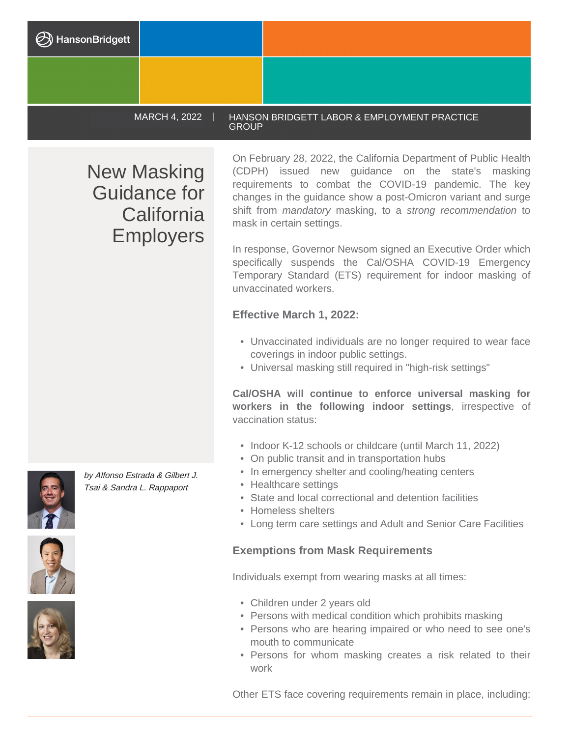MARCH 4, 2022 | HANSON BRIDGETT LABOR & EMPLOYMENT PRACTICE **GROUP** 

New Masking Guidance for **California** Employers

On February 28, 2022, the California Department of Public Health (CDPH) issued new guidance on the state's masking requirements to combat the COVID-19 pandemic. The key changes in the guidance show a post-Omicron variant and surge shift from *mandatory* masking, to a strong recommendation to mask in certain settings.

In response, Governor Newsom signed an Executive Order which specifically suspends the Cal/OSHA COVID-19 Emergency Temporary Standard (ETS) requirement for indoor masking of unvaccinated workers.

## **Effective March 1, 2022:**

- Unvaccinated individuals are no longer required to wear face coverings in indoor public settings.
- Universal masking still required in "high-risk settings"

**Cal/OSHA will continue to enforce universal masking for workers in the following indoor settings**, irrespective of vaccination status:

- Indoor K-12 schools or childcare (until March 11, 2022)
- On public transit and in transportation hubs
- In emergency shelter and cooling/heating centers
- Healthcare settings
- State and local correctional and detention facilities
- Homeless shelters
- Long term care settings and Adult and Senior Care Facilities

## **Exemptions from Mask Requirements**

Individuals exempt from wearing masks at all times:

- Children under 2 years old
- Persons with medical condition which prohibits masking
- Persons who are hearing impaired or who need to see one's mouth to communicate
- Persons for whom masking creates a risk related to their work

Other ETS face covering requirements remain in place, including:









by Alfonso Estrada & Gilbert J. Tsai & Sandra L. Rappaport